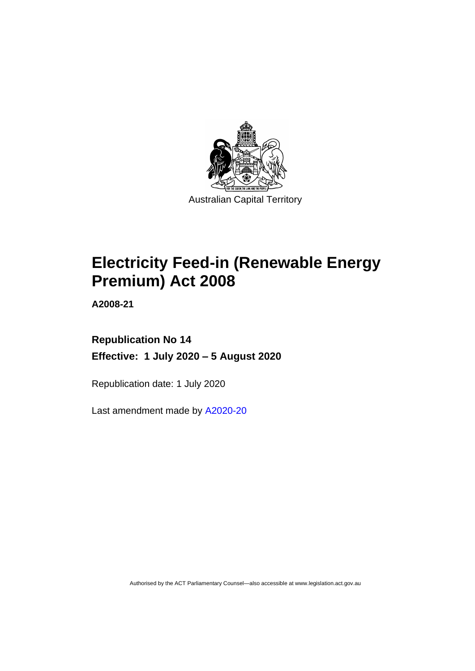

# **Electricity Feed-in (Renewable Energy Premium) Act 2008**

**A2008-21**

### **Republication No 14 Effective: 1 July 2020 – 5 August 2020**

Republication date: 1 July 2020

Last amendment made by [A2020-20](http://www.legislation.act.gov.au/a/2020-20/)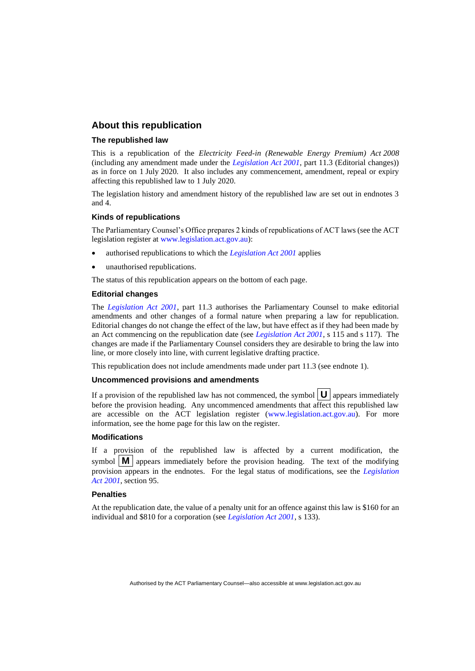#### **About this republication**

#### **The republished law**

This is a republication of the *Electricity Feed-in (Renewable Energy Premium) Act 2008* (including any amendment made under the *[Legislation Act 2001](http://www.legislation.act.gov.au/a/2001-14)*, part 11.3 (Editorial changes)) as in force on 1 July 2020*.* It also includes any commencement, amendment, repeal or expiry affecting this republished law to 1 July 2020.

The legislation history and amendment history of the republished law are set out in endnotes 3 and 4.

#### **Kinds of republications**

The Parliamentary Counsel's Office prepares 2 kinds of republications of ACT laws (see the ACT legislation register at [www.legislation.act.gov.au\)](http://www.legislation.act.gov.au/):

- authorised republications to which the *[Legislation Act 2001](http://www.legislation.act.gov.au/a/2001-14)* applies
- unauthorised republications.

The status of this republication appears on the bottom of each page.

#### **Editorial changes**

The *[Legislation Act 2001](http://www.legislation.act.gov.au/a/2001-14)*, part 11.3 authorises the Parliamentary Counsel to make editorial amendments and other changes of a formal nature when preparing a law for republication. Editorial changes do not change the effect of the law, but have effect as if they had been made by an Act commencing on the republication date (see *[Legislation Act 2001](http://www.legislation.act.gov.au/a/2001-14)*, s 115 and s 117). The changes are made if the Parliamentary Counsel considers they are desirable to bring the law into line, or more closely into line, with current legislative drafting practice.

This republication does not include amendments made under part 11.3 (see endnote 1).

#### **Uncommenced provisions and amendments**

If a provision of the republished law has not commenced, the symbol  $\mathbf{U}$  appears immediately before the provision heading. Any uncommenced amendments that affect this republished law are accessible on the ACT legislation register [\(www.legislation.act.gov.au\)](http://www.legislation.act.gov.au/). For more information, see the home page for this law on the register.

#### **Modifications**

If a provision of the republished law is affected by a current modification, the symbol  $\mathbf{M}$  appears immediately before the provision heading. The text of the modifying provision appears in the endnotes. For the legal status of modifications, see the *[Legislation](http://www.legislation.act.gov.au/a/2001-14)  Act [2001](http://www.legislation.act.gov.au/a/2001-14)*, section 95.

#### **Penalties**

At the republication date, the value of a penalty unit for an offence against this law is \$160 for an individual and \$810 for a corporation (see *[Legislation Act 2001](http://www.legislation.act.gov.au/a/2001-14)*, s 133).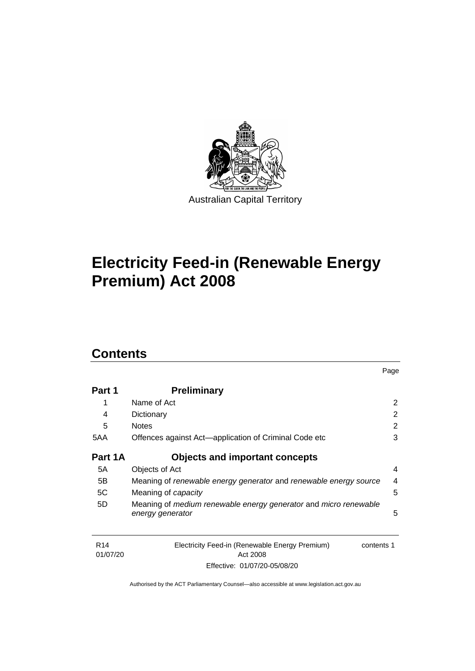

# **Electricity Feed-in (Renewable Energy Premium) Act 2008**

### **Contents**

| Part 1  | <b>Preliminary</b>                                                |                |
|---------|-------------------------------------------------------------------|----------------|
|         | Name of Act                                                       | 2              |
| 4       | Dictionary                                                        | $\overline{2}$ |
| 5       | <b>Notes</b>                                                      | $\overline{2}$ |
| 5AA     | Offences against Act—application of Criminal Code etc             | 3              |
| Part 1A | <b>Objects and important concepts</b>                             |                |
| 5A      | Objects of Act                                                    | 4              |
| 5B      | Meaning of renewable energy generator and renewable energy source | 4              |
| 5C      | Meaning of capacity                                               | 5              |
| 5D      | Meaning of medium renewable energy generator and micro renewable  |                |
|         | energy generator                                                  | 5              |

Page

| R <sub>14</sub> | Electricity Feed-in (Renewable Energy Premium) | contents 1 |
|-----------------|------------------------------------------------|------------|
| 01/07/20        | Act 2008                                       |            |
|                 | Effective: 01/07/20-05/08/20                   |            |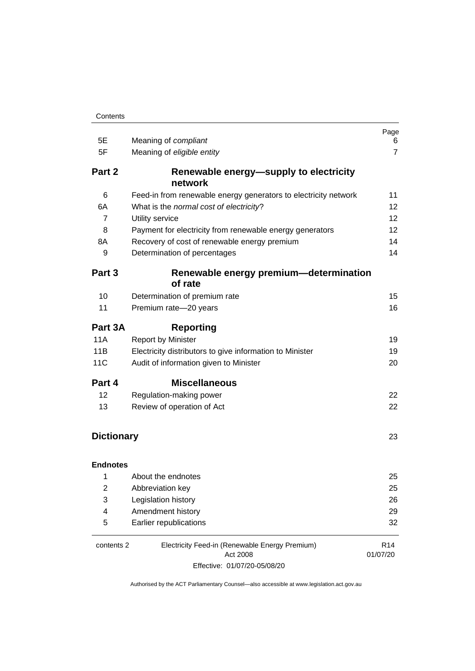| 5E                | Meaning of compliant                                            | Page<br>6                   |
|-------------------|-----------------------------------------------------------------|-----------------------------|
| 5F                | Meaning of eligible entity                                      | 7                           |
| Part 2            | Renewable energy—supply to electricity<br>network               |                             |
| 6                 | Feed-in from renewable energy generators to electricity network | 11                          |
| 6A                | What is the normal cost of electricity?                         | 12                          |
| $\overline{7}$    | Utility service                                                 | 12                          |
| 8                 | Payment for electricity from renewable energy generators        | 12                          |
| 8A                | Recovery of cost of renewable energy premium                    | 14                          |
| 9                 | Determination of percentages                                    | 14                          |
| Part 3            | Renewable energy premium-determination<br>of rate               |                             |
| 10                | Determination of premium rate                                   | 15                          |
| 11                | Premium rate-20 years                                           | 16                          |
| Part 3A           | <b>Reporting</b>                                                |                             |
| <b>11A</b>        | <b>Report by Minister</b>                                       | 19                          |
| 11B               | Electricity distributors to give information to Minister        | 19                          |
| 11C               | Audit of information given to Minister                          | 20                          |
| Part 4            | <b>Miscellaneous</b>                                            |                             |
| 12                | Regulation-making power                                         | 22                          |
| 13                | Review of operation of Act                                      | 22                          |
|                   |                                                                 |                             |
| <b>Dictionary</b> |                                                                 | 23                          |
| <b>Endnotes</b>   |                                                                 |                             |
| 1                 | About the endnotes                                              | 25                          |
| 2                 | Abbreviation key                                                | 25                          |
| 3                 | Legislation history                                             | 26                          |
| 4                 | Amendment history                                               | 29                          |
| 5                 | Earlier republications                                          | 32                          |
| contents 2        | Electricity Feed-in (Renewable Energy Premium)<br>Act 2008      | R <sub>14</sub><br>01/07/20 |

Effective: 01/07/20-05/08/20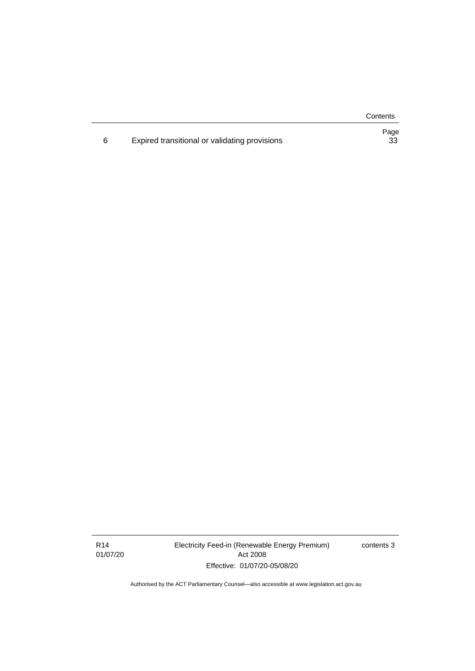**Contents** 

|                                               | Page |
|-----------------------------------------------|------|
| Expired transitional or validating provisions | 33   |

R14 01/07/20 Electricity Feed-in (Renewable Energy Premium) Act 2008 Effective: 01/07/20-05/08/20

contents 3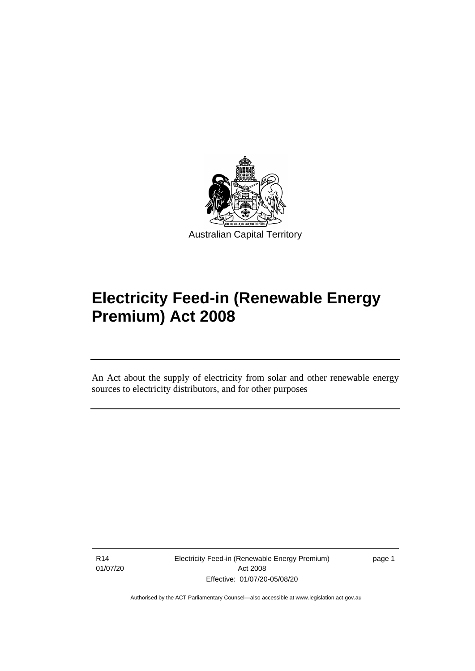

# **Electricity Feed-in (Renewable Energy Premium) Act 2008**

An Act about the supply of electricity from solar and other renewable energy sources to electricity distributors, and for other purposes

R14 01/07/20

֡֡֡

Electricity Feed-in (Renewable Energy Premium) Act 2008 Effective: 01/07/20-05/08/20

page 1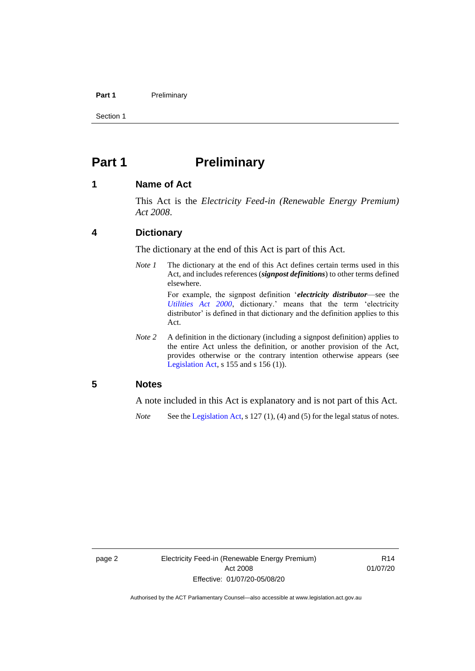#### **Part 1** Preliminary

Section 1

### <span id="page-7-0"></span>**Part 1 Preliminary**

#### <span id="page-7-1"></span>**1 Name of Act**

This Act is the *Electricity Feed-in (Renewable Energy Premium) Act 2008*.

#### <span id="page-7-2"></span>**4 Dictionary**

The dictionary at the end of this Act is part of this Act.

*Note 1* The dictionary at the end of this Act defines certain terms used in this Act, and includes references (*signpost definitions*) to other terms defined elsewhere.

> For example, the signpost definition '*electricity distributor*—see the *[Utilities Act 2000](http://www.legislation.act.gov.au/a/2000-65)*, dictionary.' means that the term 'electricity distributor' is defined in that dictionary and the definition applies to this Act.

*Note* 2 A definition in the dictionary (including a signpost definition) applies to the entire Act unless the definition, or another provision of the Act, provides otherwise or the contrary intention otherwise appears (see [Legislation Act,](http://www.legislation.act.gov.au/a/2001-14) s 155 and s 156 (1)).

#### <span id="page-7-3"></span>**5 Notes**

A note included in this Act is explanatory and is not part of this Act.

*Note* See the [Legislation Act,](http://www.legislation.act.gov.au/a/2001-14) s 127 (1), (4) and (5) for the legal status of notes.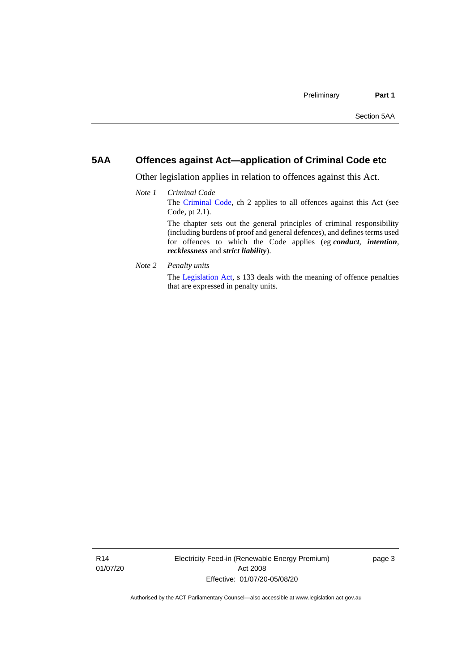#### <span id="page-8-0"></span>**5AA Offences against Act—application of Criminal Code etc**

*recklessness* and *strict liability*).

Other legislation applies in relation to offences against this Act.

#### *Note 1 Criminal Code* The [Criminal Code,](http://www.legislation.act.gov.au/a/2002-51) ch 2 applies to all offences against this Act (see Code, pt 2.1). The chapter sets out the general principles of criminal responsibility (including burdens of proof and general defences), and defines terms used for offences to which the Code applies (eg *conduct*, *intention*,

*Note 2 Penalty units*

The [Legislation Act,](http://www.legislation.act.gov.au/a/2001-14) s 133 deals with the meaning of offence penalties that are expressed in penalty units.

R14 01/07/20 Electricity Feed-in (Renewable Energy Premium) Act 2008 Effective: 01/07/20-05/08/20

page 3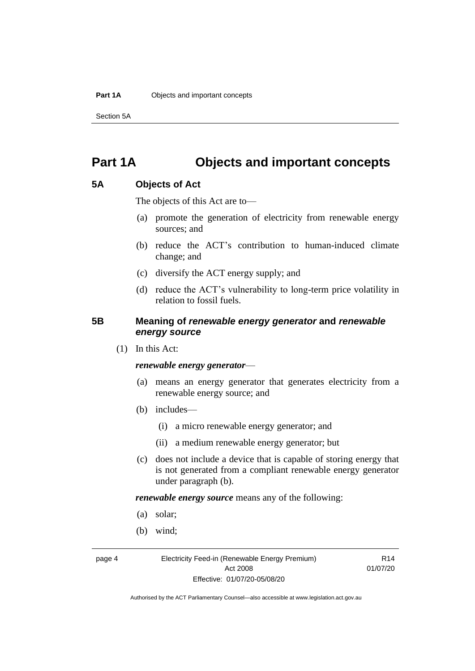Section 5A

### <span id="page-9-0"></span>**Part 1A Objects and important concepts**

#### <span id="page-9-1"></span>**5A Objects of Act**

The objects of this Act are to—

- (a) promote the generation of electricity from renewable energy sources; and
- (b) reduce the ACT's contribution to human-induced climate change; and
- (c) diversify the ACT energy supply; and
- (d) reduce the ACT's vulnerability to long-term price volatility in relation to fossil fuels.

#### <span id="page-9-2"></span>**5B Meaning of** *renewable energy generator* **and** *renewable energy source*

(1) In this Act:

#### *renewable energy generator*—

- (a) means an energy generator that generates electricity from a renewable energy source; and
- (b) includes—
	- (i) a micro renewable energy generator; and
	- (ii) a medium renewable energy generator; but
- (c) does not include a device that is capable of storing energy that is not generated from a compliant renewable energy generator under paragraph (b).

*renewable energy source* means any of the following:

- (a) solar;
- (b) wind;

page 4 Electricity Feed-in (Renewable Energy Premium) Act 2008 Effective: 01/07/20-05/08/20

R14 01/07/20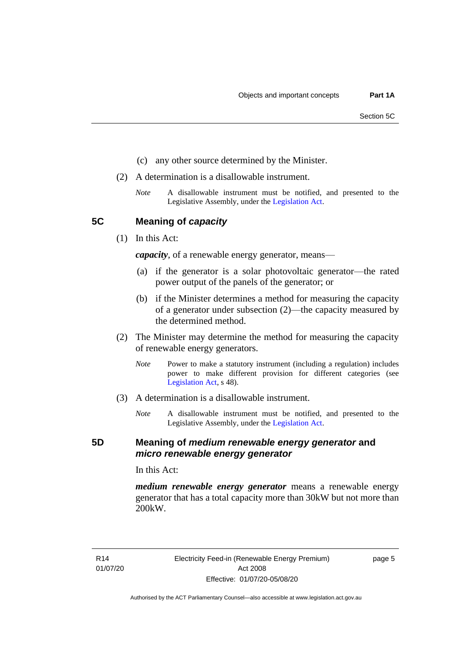- (c) any other source determined by the Minister.
- (2) A determination is a disallowable instrument.
	- *Note* A disallowable instrument must be notified, and presented to the Legislative Assembly, under the [Legislation Act.](http://www.legislation.act.gov.au/a/2001-14)

<span id="page-10-0"></span>**5C Meaning of** *capacity*

(1) In this Act:

*capacity*, of a renewable energy generator, means—

- (a) if the generator is a solar photovoltaic generator—the rated power output of the panels of the generator; or
- (b) if the Minister determines a method for measuring the capacity of a generator under subsection (2)—the capacity measured by the determined method.
- (2) The Minister may determine the method for measuring the capacity of renewable energy generators.
	- *Note* Power to make a statutory instrument (including a regulation) includes power to make different provision for different categories (see [Legislation Act,](http://www.legislation.act.gov.au/a/2001-14) s 48).
- (3) A determination is a disallowable instrument.
	- *Note* A disallowable instrument must be notified, and presented to the Legislative Assembly, under the [Legislation Act.](http://www.legislation.act.gov.au/a/2001-14)

#### <span id="page-10-1"></span>**5D Meaning of** *medium renewable energy generator* **and**  *micro renewable energy generator*

In this Act:

*medium renewable energy generator* means a renewable energy generator that has a total capacity more than 30kW but not more than 200kW.

R14 01/07/20 page 5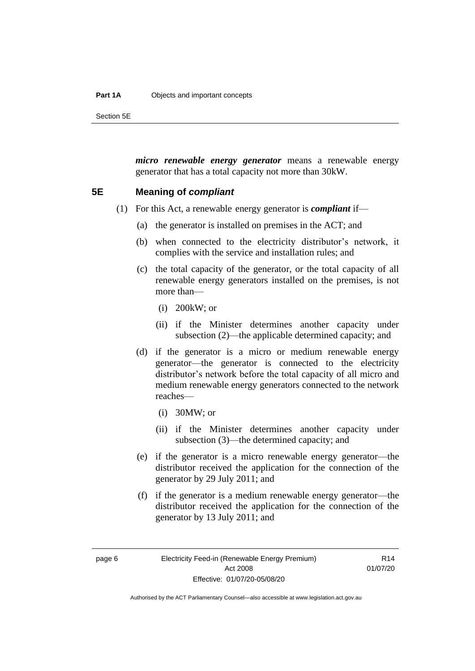#### **Part 1A** Objects and important concepts

Section 5E

*micro renewable energy generator* means a renewable energy generator that has a total capacity not more than 30kW.

#### <span id="page-11-0"></span>**5E Meaning of** *compliant*

- (1) For this Act, a renewable energy generator is *compliant* if—
	- (a) the generator is installed on premises in the ACT; and
	- (b) when connected to the electricity distributor's network, it complies with the service and installation rules; and
	- (c) the total capacity of the generator, or the total capacity of all renewable energy generators installed on the premises, is not more than—
		- (i) 200kW; or
		- (ii) if the Minister determines another capacity under subsection (2)—the applicable determined capacity; and
	- (d) if the generator is a micro or medium renewable energy generator—the generator is connected to the electricity distributor's network before the total capacity of all micro and medium renewable energy generators connected to the network reaches—
		- (i) 30MW; or
		- (ii) if the Minister determines another capacity under subsection (3)—the determined capacity; and
	- (e) if the generator is a micro renewable energy generator—the distributor received the application for the connection of the generator by 29 July 2011; and
	- (f) if the generator is a medium renewable energy generator—the distributor received the application for the connection of the generator by 13 July 2011; and

 $R14$ 01/07/20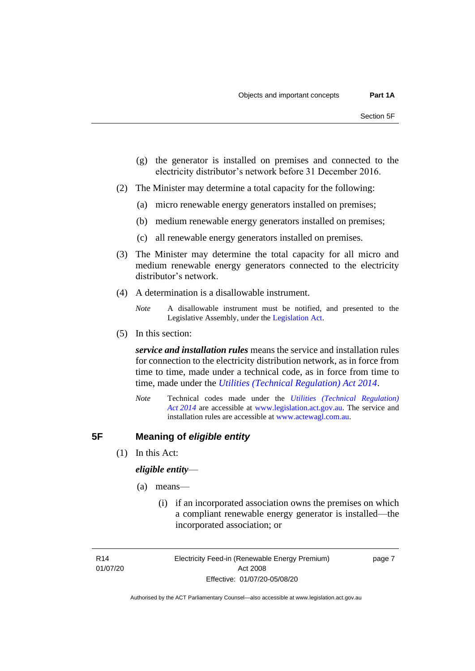- (g) the generator is installed on premises and connected to the electricity distributor's network before 31 December 2016.
- (2) The Minister may determine a total capacity for the following:
	- (a) micro renewable energy generators installed on premises;
	- (b) medium renewable energy generators installed on premises;
	- (c) all renewable energy generators installed on premises.
- (3) The Minister may determine the total capacity for all micro and medium renewable energy generators connected to the electricity distributor's network.
- (4) A determination is a disallowable instrument.

(5) In this section:

*service and installation rules* means the service and installation rules for connection to the electricity distribution network, as in force from time to time, made under a technical code, as in force from time to time, made under the *[Utilities \(Technical Regulation\) Act 2014](http://www.legislation.act.gov.au/a/2014-60/default.asp)*.

*Note* Technical codes made under the *[Utilities \(Technical Regulation\)](http://www.legislation.act.gov.au/a/2014-60/default.asp)  Act [2014](http://www.legislation.act.gov.au/a/2014-60/default.asp)* are accessible at [www.legislation.act.gov.au.](http://www.legislation.act.gov.au/) The service and installation rules are accessible at [www.actewagl.com.au.](http://www.actewagl.com.au/)

#### <span id="page-12-0"></span>**5F Meaning of** *eligible entity*

(1) In this Act:

#### *eligible entity*—

- (a) means—
	- (i) if an incorporated association owns the premises on which a compliant renewable energy generator is installed—the incorporated association; or

R14 01/07/20 Electricity Feed-in (Renewable Energy Premium) Act 2008 Effective: 01/07/20-05/08/20

page 7

*Note* A disallowable instrument must be notified, and presented to the Legislative Assembly, under the [Legislation Act.](http://www.legislation.act.gov.au/a/2001-14)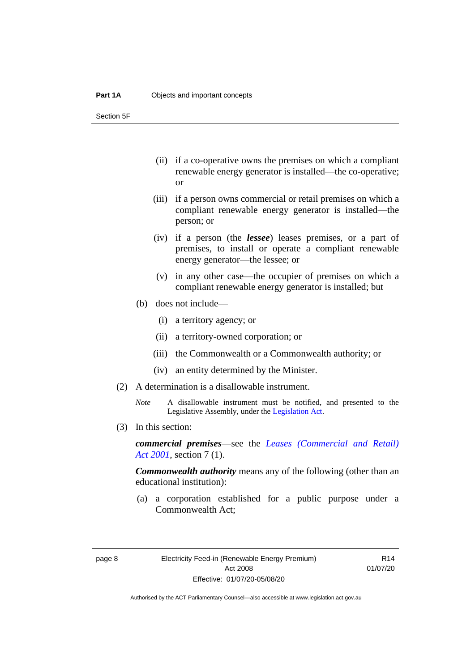Section 5F

- (ii) if a co-operative owns the premises on which a compliant renewable energy generator is installed—the co-operative; or
- (iii) if a person owns commercial or retail premises on which a compliant renewable energy generator is installed—the person; or
- (iv) if a person (the *lessee*) leases premises, or a part of premises, to install or operate a compliant renewable energy generator—the lessee; or
- (v) in any other case—the occupier of premises on which a compliant renewable energy generator is installed; but
- (b) does not include—
	- (i) a territory agency; or
	- (ii) a territory-owned corporation; or
	- (iii) the Commonwealth or a Commonwealth authority; or
	- (iv) an entity determined by the Minister.
- (2) A determination is a disallowable instrument.
	- *Note* A disallowable instrument must be notified, and presented to the Legislative Assembly, under the [Legislation Act.](http://www.legislation.act.gov.au/a/2001-14)
- (3) In this section:

*commercial premises*—see the *[Leases \(Commercial and Retail\)](http://www.legislation.act.gov.au/a/2001-18)  Act [2001](http://www.legislation.act.gov.au/a/2001-18)*, section 7 (1).

*Commonwealth authority* means any of the following (other than an educational institution):

(a) a corporation established for a public purpose under a Commonwealth Act;

R14 01/07/20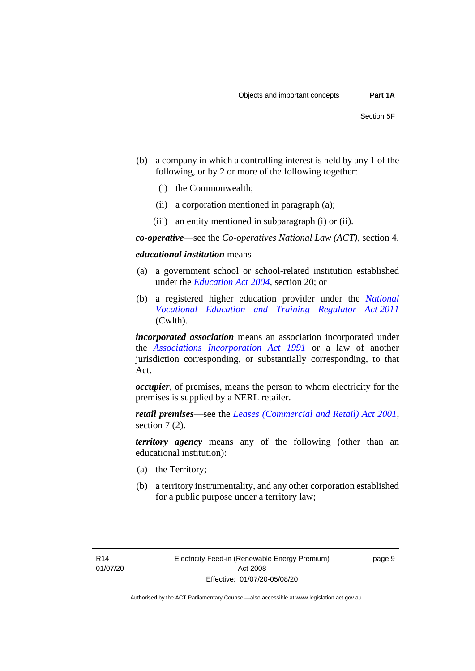- (b) a company in which a controlling interest is held by any 1 of the following, or by 2 or more of the following together:
	- (i) the Commonwealth;
	- (ii) a corporation mentioned in paragraph (a);
	- (iii) an entity mentioned in subparagraph (i) or (ii).

*co-operative*—see the *Co-operatives National Law (ACT)*, section 4.

*educational institution* means—

- (a) a government school or school-related institution established under the *[Education Act 2004](http://www.legislation.act.gov.au/a/2004-17)*, section 20; or
- (b) a registered higher education provider under the *[National](http://www.comlaw.gov.au/Series/C2011A00012)  [Vocational Education and Training Regulator Act](http://www.comlaw.gov.au/Series/C2011A00012) 2011* (Cwlth).

*incorporated association* means an association incorporated under the *[Associations Incorporation Act 1991](http://www.legislation.act.gov.au/a/1991-46)* or a law of another jurisdiction corresponding, or substantially corresponding, to that Act.

*occupier*, of premises, means the person to whom electricity for the premises is supplied by a NERL retailer.

*retail premises*—see the *[Leases \(Commercial and Retail\) Act 2001](http://www.legislation.act.gov.au/a/2001-18)*, section 7 (2).

*territory agency* means any of the following (other than an educational institution):

- (a) the Territory;
- (b) a territory instrumentality, and any other corporation established for a public purpose under a territory law;

page 9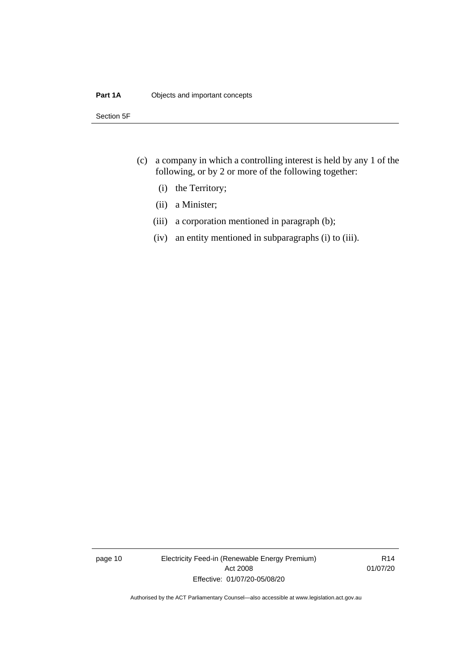#### **Part 1A** Objects and important concepts

Section 5F

- (c) a company in which a controlling interest is held by any 1 of the following, or by 2 or more of the following together:
	- (i) the Territory;
	- (ii) a Minister;
	- (iii) a corporation mentioned in paragraph (b);
	- (iv) an entity mentioned in subparagraphs (i) to (iii).

page 10 Electricity Feed-in (Renewable Energy Premium) Act 2008 Effective: 01/07/20-05/08/20

R14 01/07/20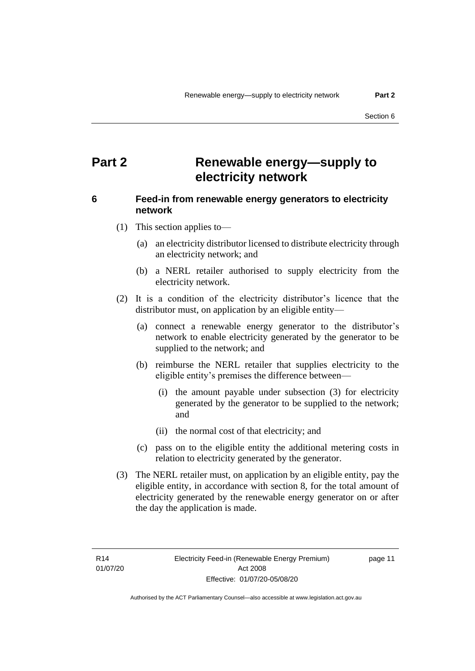### <span id="page-16-0"></span>**Part 2 Renewable energy—supply to electricity network**

#### <span id="page-16-1"></span>**6 Feed-in from renewable energy generators to electricity network**

- (1) This section applies to—
	- (a) an electricity distributor licensed to distribute electricity through an electricity network; and
	- (b) a NERL retailer authorised to supply electricity from the electricity network.
- (2) It is a condition of the electricity distributor's licence that the distributor must, on application by an eligible entity—
	- (a) connect a renewable energy generator to the distributor's network to enable electricity generated by the generator to be supplied to the network; and
	- (b) reimburse the NERL retailer that supplies electricity to the eligible entity's premises the difference between—
		- (i) the amount payable under subsection (3) for electricity generated by the generator to be supplied to the network; and
		- (ii) the normal cost of that electricity; and
	- (c) pass on to the eligible entity the additional metering costs in relation to electricity generated by the generator.
- (3) The NERL retailer must, on application by an eligible entity, pay the eligible entity, in accordance with section 8, for the total amount of electricity generated by the renewable energy generator on or after the day the application is made.

R14 01/07/20 page 11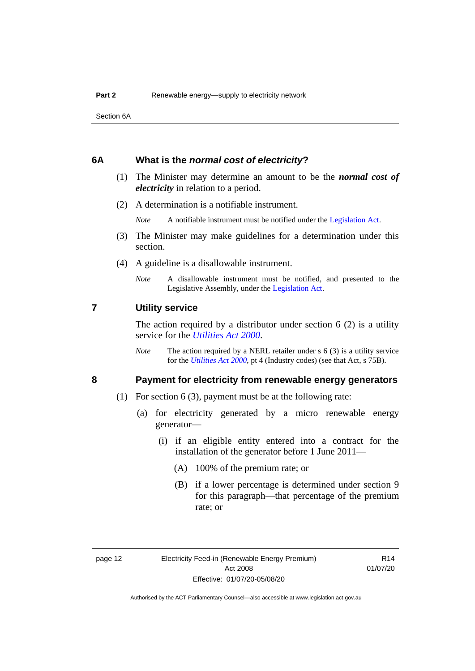Section 6A

#### <span id="page-17-0"></span>**6A What is the** *normal cost of electricity***?**

- (1) The Minister may determine an amount to be the *normal cost of electricity* in relation to a period.
- (2) A determination is a notifiable instrument.

*Note* A notifiable instrument must be notified under the [Legislation Act.](http://www.legislation.act.gov.au/a/2001-14)

- (3) The Minister may make guidelines for a determination under this section.
- (4) A guideline is a disallowable instrument.
	- *Note* A disallowable instrument must be notified, and presented to the Legislative Assembly, under the [Legislation Act.](http://www.legislation.act.gov.au/a/2001-14)

#### <span id="page-17-1"></span>**7 Utility service**

The action required by a distributor under section  $6(2)$  is a utility service for the *[Utilities Act](http://www.legislation.act.gov.au/a/2000-65) 2000*.

*Note* The action required by a NERL retailer under s 6 (3) is a utility service for the *[Utilities Act](http://www.legislation.act.gov.au/a/2000-65) 2000*, pt 4 (Industry codes) (see that Act, s 75B).

#### <span id="page-17-2"></span>**8 Payment for electricity from renewable energy generators**

- (1) For section 6 (3), payment must be at the following rate:
	- (a) for electricity generated by a micro renewable energy generator—
		- (i) if an eligible entity entered into a contract for the installation of the generator before 1 June 2011—
			- (A) 100% of the premium rate; or
			- (B) if a lower percentage is determined under section 9 for this paragraph—that percentage of the premium rate; or

R14 01/07/20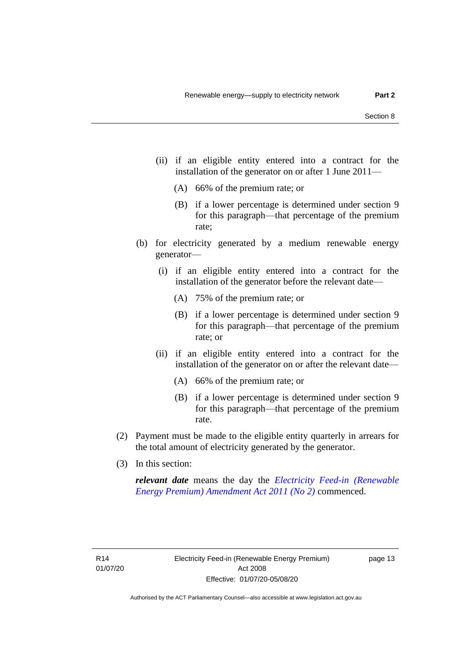- (ii) if an eligible entity entered into a contract for the installation of the generator on or after 1 June 2011—
	- (A) 66% of the premium rate; or
	- (B) if a lower percentage is determined under section 9 for this paragraph—that percentage of the premium rate;
- (b) for electricity generated by a medium renewable energy generator—
	- (i) if an eligible entity entered into a contract for the installation of the generator before the relevant date—
		- (A) 75% of the premium rate; or
		- (B) if a lower percentage is determined under section 9 for this paragraph—that percentage of the premium rate; or
	- (ii) if an eligible entity entered into a contract for the installation of the generator on or after the relevant date—
		- (A) 66% of the premium rate; or
		- (B) if a lower percentage is determined under section 9 for this paragraph—that percentage of the premium rate.
- (2) Payment must be made to the eligible entity quarterly in arrears for the total amount of electricity generated by the generator.
- (3) In this section:

*relevant date* means the day the *[Electricity Feed-in \(Renewable](http://www.legislation.act.gov.au/a/2011-25)  [Energy Premium\) Amendment Act 2011 \(No 2\)](http://www.legislation.act.gov.au/a/2011-25)* commenced.

page 13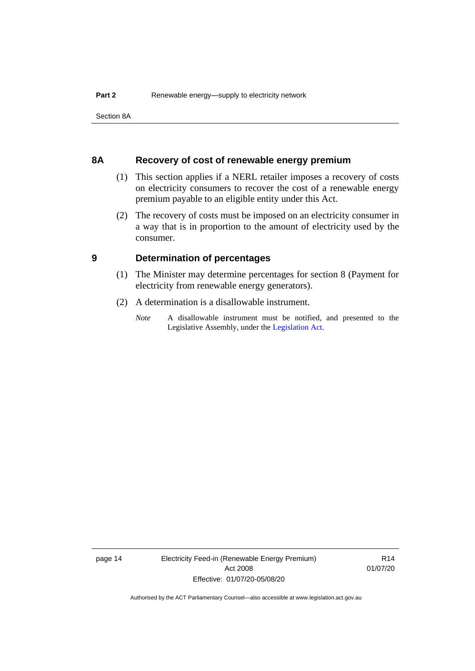Section 8A

#### <span id="page-19-0"></span>**8A Recovery of cost of renewable energy premium**

- (1) This section applies if a NERL retailer imposes a recovery of costs on electricity consumers to recover the cost of a renewable energy premium payable to an eligible entity under this Act.
- (2) The recovery of costs must be imposed on an electricity consumer in a way that is in proportion to the amount of electricity used by the consumer.

#### <span id="page-19-1"></span>**9 Determination of percentages**

- (1) The Minister may determine percentages for section 8 (Payment for electricity from renewable energy generators).
- (2) A determination is a disallowable instrument.
	- *Note* A disallowable instrument must be notified, and presented to the Legislative Assembly, under the [Legislation Act.](http://www.legislation.act.gov.au/a/2001-14)

page 14 Electricity Feed-in (Renewable Energy Premium) Act 2008 Effective: 01/07/20-05/08/20

R14 01/07/20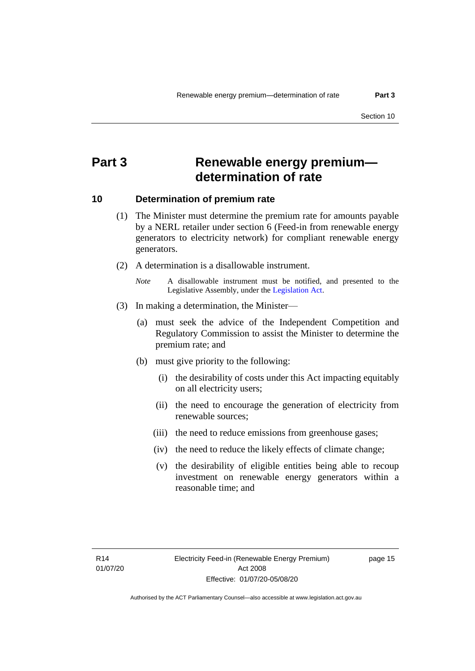### <span id="page-20-0"></span>**Part 3 Renewable energy premium determination of rate**

#### <span id="page-20-1"></span>**10 Determination of premium rate**

- (1) The Minister must determine the premium rate for amounts payable by a NERL retailer under section 6 (Feed-in from renewable energy generators to electricity network) for compliant renewable energy generators.
- (2) A determination is a disallowable instrument.
	- *Note* A disallowable instrument must be notified, and presented to the Legislative Assembly, under the [Legislation Act.](http://www.legislation.act.gov.au/a/2001-14)
- (3) In making a determination, the Minister—
	- (a) must seek the advice of the Independent Competition and Regulatory Commission to assist the Minister to determine the premium rate; and
	- (b) must give priority to the following:
		- (i) the desirability of costs under this Act impacting equitably on all electricity users;
		- (ii) the need to encourage the generation of electricity from renewable sources;
		- (iii) the need to reduce emissions from greenhouse gases;
		- (iv) the need to reduce the likely effects of climate change;
		- (v) the desirability of eligible entities being able to recoup investment on renewable energy generators within a reasonable time; and

page 15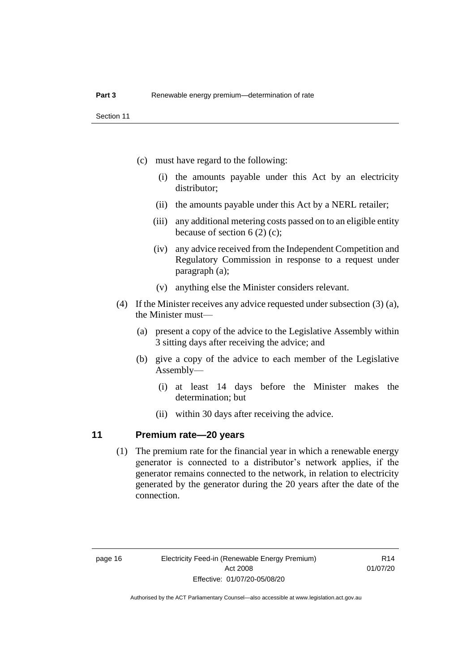- (c) must have regard to the following:
	- (i) the amounts payable under this Act by an electricity distributor;
	- (ii) the amounts payable under this Act by a NERL retailer;
	- (iii) any additional metering costs passed on to an eligible entity because of section 6 (2) (c);
	- (iv) any advice received from the Independent Competition and Regulatory Commission in response to a request under paragraph (a);
	- (v) anything else the Minister considers relevant.
- (4) If the Minister receives any advice requested under subsection (3) (a), the Minister must—
	- (a) present a copy of the advice to the Legislative Assembly within 3 sitting days after receiving the advice; and
	- (b) give a copy of the advice to each member of the Legislative Assembly—
		- (i) at least 14 days before the Minister makes the determination; but
		- (ii) within 30 days after receiving the advice.

#### <span id="page-21-0"></span>**11 Premium rate—20 years**

(1) The premium rate for the financial year in which a renewable energy generator is connected to a distributor's network applies, if the generator remains connected to the network, in relation to electricity generated by the generator during the 20 years after the date of the connection.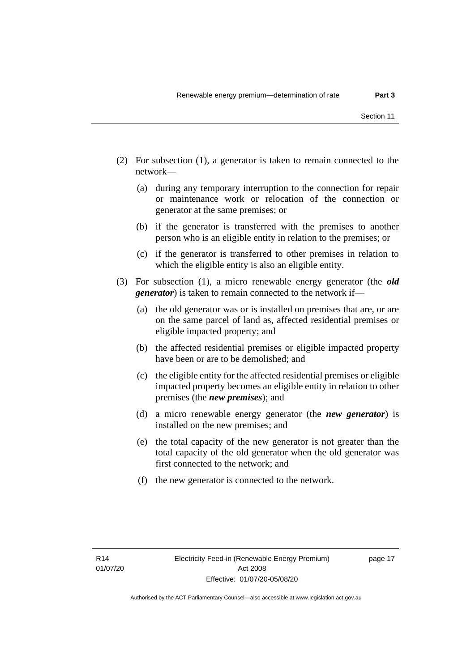- (2) For subsection (1), a generator is taken to remain connected to the network—
	- (a) during any temporary interruption to the connection for repair or maintenance work or relocation of the connection or generator at the same premises; or
	- (b) if the generator is transferred with the premises to another person who is an eligible entity in relation to the premises; or
	- (c) if the generator is transferred to other premises in relation to which the eligible entity is also an eligible entity.
- (3) For subsection (1), a micro renewable energy generator (the *old generator*) is taken to remain connected to the network if—
	- (a) the old generator was or is installed on premises that are, or are on the same parcel of land as, affected residential premises or eligible impacted property; and
	- (b) the affected residential premises or eligible impacted property have been or are to be demolished; and
	- (c) the eligible entity for the affected residential premises or eligible impacted property becomes an eligible entity in relation to other premises (the *new premises*); and
	- (d) a micro renewable energy generator (the *new generator*) is installed on the new premises; and
	- (e) the total capacity of the new generator is not greater than the total capacity of the old generator when the old generator was first connected to the network; and
	- (f) the new generator is connected to the network.

page 17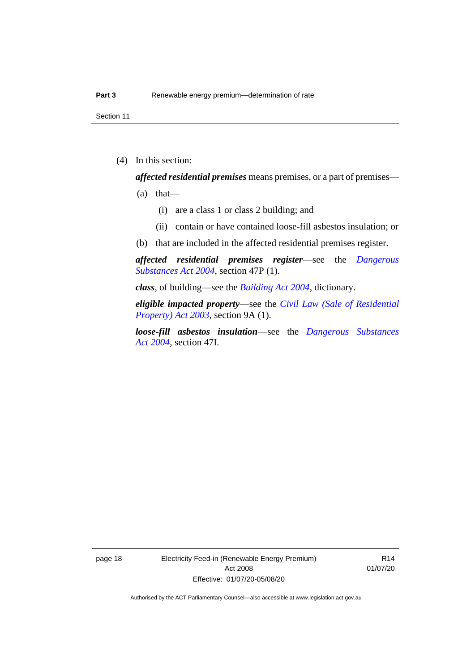Section 11

(4) In this section:

*affected residential premises* means premises, or a part of premises—

- $(a)$  that—
	- (i) are a class 1 or class 2 building; and
	- (ii) contain or have contained loose-fill asbestos insulation; or
- (b) that are included in the affected residential premises register.

*affected residential premises register*—see the *[Dangerous](http://www.legislation.act.gov.au/a/2004-7)  [Substances Act 2004](http://www.legislation.act.gov.au/a/2004-7)*, section 47P (1).

*class*, of building—see the *[Building Act 2004](http://www.legislation.act.gov.au/a/2004-11)*, dictionary.

*eligible impacted property*—see the *[Civil Law \(Sale of Residential](http://www.legislation.act.gov.au/a/2003-40)  [Property\) Act 2003](http://www.legislation.act.gov.au/a/2003-40)*, section 9A (1).

*loose-fill asbestos insulation*—see the *[Dangerous Substances](http://www.legislation.act.gov.au/a/2004-7)  Act [2004](http://www.legislation.act.gov.au/a/2004-7)*, section 47I.

page 18 Electricity Feed-in (Renewable Energy Premium) Act 2008 Effective: 01/07/20-05/08/20

R14 01/07/20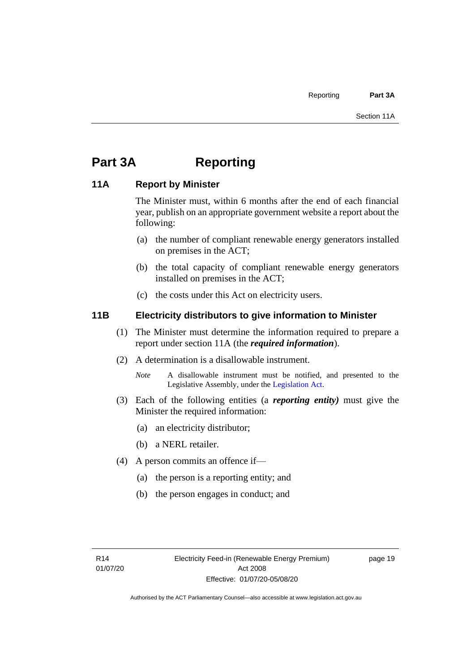## <span id="page-24-0"></span>**Part 3A Reporting**

#### <span id="page-24-1"></span>**11A Report by Minister**

The Minister must, within 6 months after the end of each financial year, publish on an appropriate government website a report about the following:

- (a) the number of compliant renewable energy generators installed on premises in the ACT;
- (b) the total capacity of compliant renewable energy generators installed on premises in the ACT;
- (c) the costs under this Act on electricity users.

#### <span id="page-24-2"></span>**11B Electricity distributors to give information to Minister**

- (1) The Minister must determine the information required to prepare a report under section 11A (the *required information*).
- (2) A determination is a disallowable instrument.
	- *Note* A disallowable instrument must be notified, and presented to the Legislative Assembly, under the [Legislation Act.](http://www.legislation.act.gov.au/a/2001-14)
- (3) Each of the following entities (a *reporting entity)* must give the Minister the required information:
	- (a) an electricity distributor;
	- (b) a NERL retailer.
- (4) A person commits an offence if—
	- (a) the person is a reporting entity; and
	- (b) the person engages in conduct; and

page 19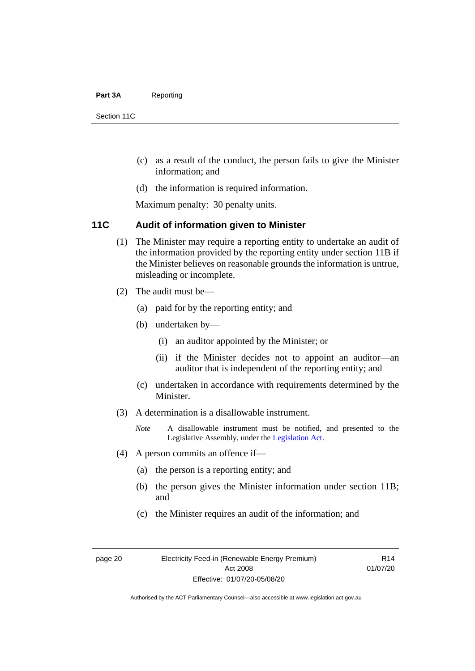#### Part 3A Reporting

Section 11C

- (c) as a result of the conduct, the person fails to give the Minister information; and
- (d) the information is required information.

Maximum penalty: 30 penalty units.

#### <span id="page-25-0"></span>**11C Audit of information given to Minister**

- (1) The Minister may require a reporting entity to undertake an audit of the information provided by the reporting entity under section 11B if the Minister believes on reasonable grounds the information is untrue, misleading or incomplete.
- (2) The audit must be—
	- (a) paid for by the reporting entity; and
	- (b) undertaken by—
		- (i) an auditor appointed by the Minister; or
		- (ii) if the Minister decides not to appoint an auditor—an auditor that is independent of the reporting entity; and
	- (c) undertaken in accordance with requirements determined by the Minister.
- (3) A determination is a disallowable instrument.
	- *Note* A disallowable instrument must be notified, and presented to the Legislative Assembly, under the [Legislation Act.](http://www.legislation.act.gov.au/a/2001-14)
- (4) A person commits an offence if—
	- (a) the person is a reporting entity; and
	- (b) the person gives the Minister information under section 11B; and
	- (c) the Minister requires an audit of the information; and

page 20 Electricity Feed-in (Renewable Energy Premium) Act 2008 Effective: 01/07/20-05/08/20

R14 01/07/20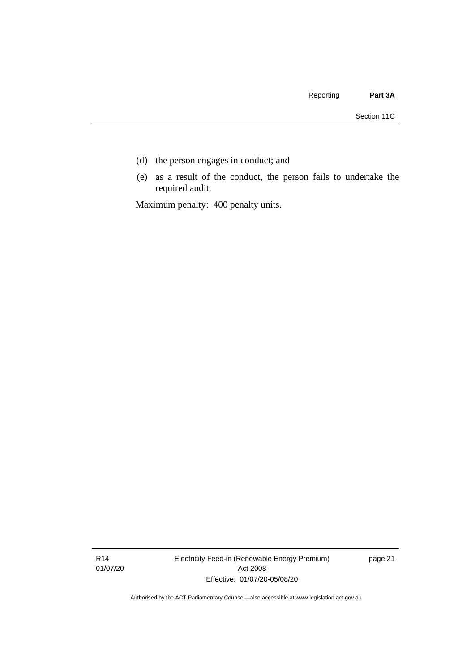- (d) the person engages in conduct; and
- (e) as a result of the conduct, the person fails to undertake the required audit.

Maximum penalty: 400 penalty units.

R14 01/07/20 Electricity Feed-in (Renewable Energy Premium) Act 2008 Effective: 01/07/20-05/08/20

page 21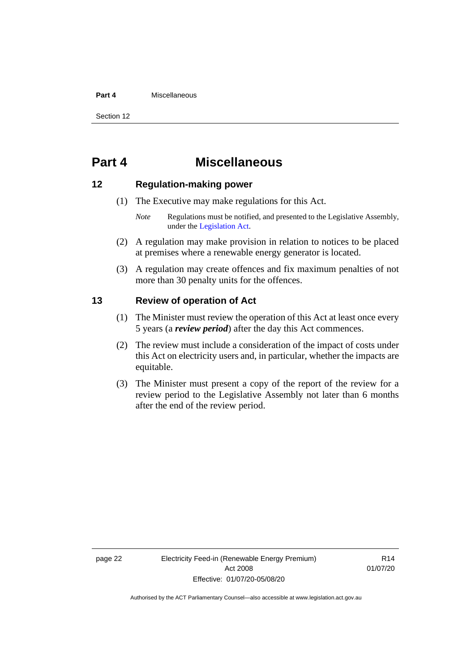#### **Part 4** Miscellaneous

Section 12

### <span id="page-27-0"></span>**Part 4 Miscellaneous**

#### <span id="page-27-1"></span>**12 Regulation-making power**

- (1) The Executive may make regulations for this Act.
	- *Note* Regulations must be notified, and presented to the Legislative Assembly, under the [Legislation Act.](http://www.legislation.act.gov.au/a/2001-14)
- (2) A regulation may make provision in relation to notices to be placed at premises where a renewable energy generator is located.
- (3) A regulation may create offences and fix maximum penalties of not more than 30 penalty units for the offences.

#### <span id="page-27-2"></span>**13 Review of operation of Act**

- (1) The Minister must review the operation of this Act at least once every 5 years (a *review period*) after the day this Act commences.
- (2) The review must include a consideration of the impact of costs under this Act on electricity users and, in particular, whether the impacts are equitable.
- (3) The Minister must present a copy of the report of the review for a review period to the Legislative Assembly not later than 6 months after the end of the review period.

R14 01/07/20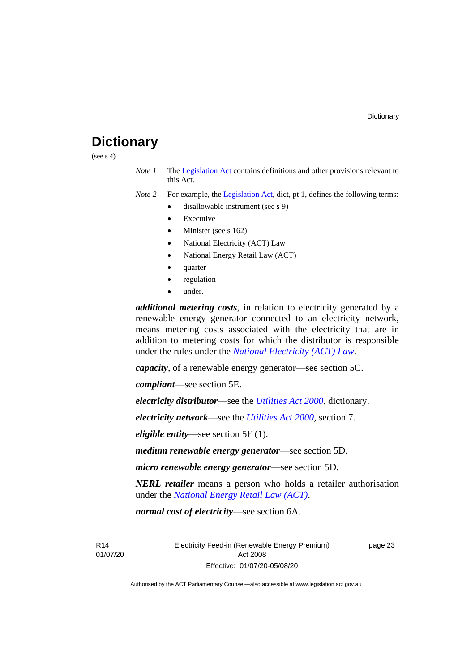### <span id="page-28-0"></span>**Dictionary**

(see  $s$  4)

*Note 1* The [Legislation Act](http://www.legislation.act.gov.au/a/2001-14) contains definitions and other provisions relevant to this Act.

*Note 2* For example, the [Legislation Act,](http://www.legislation.act.gov.au/a/2001-14) dict, pt 1, defines the following terms:

- disallowable instrument (see s 9)
	- **Executive**
	- Minister (see s 162)
	- National Electricity (ACT) Law
	- National Energy Retail Law (ACT)
	- quarter
	- regulation
	- under.

*additional metering costs*, in relation to electricity generated by a renewable energy generator connected to an electricity network, means metering costs associated with the electricity that are in addition to metering costs for which the distributor is responsible under the rules under the *[National Electricity \(ACT\) Law](http://www.legislation.act.gov.au/a/1997-79/default.asp)*.

*capacity*, of a renewable energy generator—see section 5C.

*compliant*—see section 5E.

*electricity distributor*—see the *[Utilities Act 2000](http://www.legislation.act.gov.au/a/2000-65)*, dictionary.

*electricity network*—see the *[Utilities Act 2000](http://www.legislation.act.gov.au/a/2000-65)*, section 7.

*eligible entity—*see section 5F (1).

*medium renewable energy generator*—see section 5D.

*micro renewable energy generator*—see section 5D.

*NERL retailer* means a person who holds a retailer authorisation under the *[National Energy Retail Law \(ACT\)](http://www.legislation.act.gov.au/a/2012-31/default.asp)*.

*normal cost of electricity*—see section 6A.

R14 01/07/20 Electricity Feed-in (Renewable Energy Premium) Act 2008 Effective: 01/07/20-05/08/20

page 23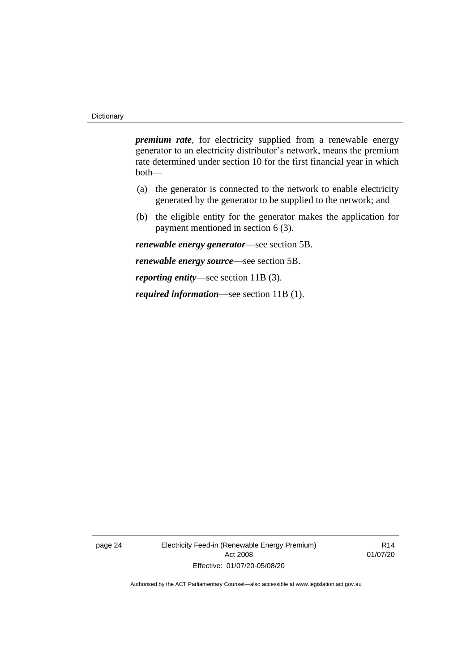*premium rate*, for electricity supplied from a renewable energy generator to an electricity distributor's network, means the premium rate determined under section 10 for the first financial year in which both—

- (a) the generator is connected to the network to enable electricity generated by the generator to be supplied to the network; and
- (b) the eligible entity for the generator makes the application for payment mentioned in section 6 (3).

*renewable energy generator*—see section 5B.

*renewable energy source*—see section 5B.

*reporting entity*—see section 11B (3).

*required information*—see section 11B (1).

page 24 Electricity Feed-in (Renewable Energy Premium) Act 2008 Effective: 01/07/20-05/08/20

R14 01/07/20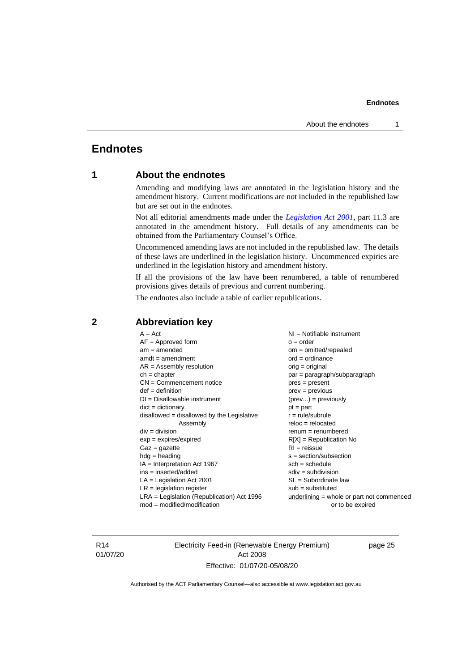### <span id="page-30-1"></span><span id="page-30-0"></span>**Endnotes**

#### **1 About the endnotes**

Amending and modifying laws are annotated in the legislation history and the amendment history. Current modifications are not included in the republished law but are set out in the endnotes.

Not all editorial amendments made under the *[Legislation Act 2001](http://www.legislation.act.gov.au/a/2001-14)*, part 11.3 are annotated in the amendment history. Full details of any amendments can be obtained from the Parliamentary Counsel's Office.

Uncommenced amending laws are not included in the republished law. The details of these laws are underlined in the legislation history. Uncommenced expiries are underlined in the legislation history and amendment history.

If all the provisions of the law have been renumbered, a table of renumbered provisions gives details of previous and current numbering.

The endnotes also include a table of earlier republications.

| $A = Act$<br>$AF =$ Approved form<br>$am = amended$<br>$amdt = amendment$     | $NI =$ Notifiable instrument<br>$o = order$<br>$om = omitted/repealed$<br>$ord = ordinance$ |
|-------------------------------------------------------------------------------|---------------------------------------------------------------------------------------------|
| $AR = Assembly resolution$                                                    | $orig = original$                                                                           |
| $ch = chapter$                                                                | par = paragraph/subparagraph                                                                |
| $CN =$ Commencement notice                                                    | $pres = present$                                                                            |
| $def = definition$                                                            | $prev = previous$                                                                           |
| $DI = Disallowable instrument$                                                | $(\text{prev}) = \text{previously}$                                                         |
| $dict = dictionary$                                                           | $pt = part$                                                                                 |
| disallowed = disallowed by the Legislative                                    | $r = rule/subrule$                                                                          |
| Assembly                                                                      | $reloc = relocated$                                                                         |
| $div = division$                                                              | $remum = renumbered$                                                                        |
| $exp = expires/expired$                                                       | $R[X]$ = Republication No                                                                   |
| $Gaz = gazette$                                                               | $RI = reissue$                                                                              |
| $hdg =$ heading                                                               | $s = section/subsection$                                                                    |
| $IA = Interpretation Act 1967$                                                | $sch = schedule$                                                                            |
| $ins = inserted/added$                                                        | $sdiv = subdivision$                                                                        |
| $LA =$ Legislation Act 2001                                                   | $SL = Subordinate$ law                                                                      |
| $LR =$ legislation register                                                   | $sub =$ substituted                                                                         |
| $LRA =$ Legislation (Republication) Act 1996<br>$mod = modified/modification$ | $underlining = whole or part not commenced$<br>or to be expired                             |
|                                                                               |                                                                                             |

#### <span id="page-30-2"></span>**2 Abbreviation key**

R14 01/07/20 Electricity Feed-in (Renewable Energy Premium) Act 2008 Effective: 01/07/20-05/08/20

page 25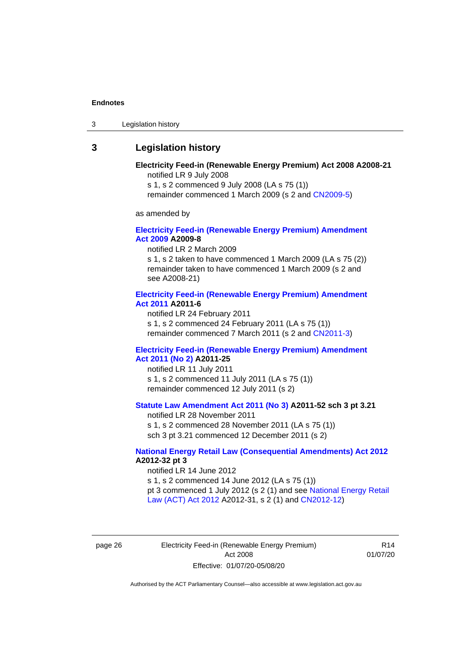3 Legislation history

#### <span id="page-31-0"></span>**3 Legislation history**

#### **Electricity Feed-in (Renewable Energy Premium) Act 2008 A2008-21** notified LR 9 July 2008

s 1, s 2 commenced 9 July 2008 (LA s 75 (1))

remainder commenced 1 March 2009 (s 2 and [CN2009-5\)](http://www.legislation.act.gov.au/cn/2009-5/default.asp)

as amended by

#### **[Electricity Feed-in \(Renewable Energy Premium\) Amendment](http://www.legislation.act.gov.au/a/2009-8)  Act [2009](http://www.legislation.act.gov.au/a/2009-8) A2009-8**

notified LR 2 March 2009

s 1, s 2 taken to have commenced 1 March 2009 (LA s 75 (2)) remainder taken to have commenced 1 March 2009 (s 2 and see A2008-21)

#### **[Electricity Feed-in \(Renewable Energy Premium\) Amendment](http://www.legislation.act.gov.au/a/2011-6)  Act [2011](http://www.legislation.act.gov.au/a/2011-6) A2011-6**

notified LR 24 February 2011 s 1, s 2 commenced 24 February 2011 (LA s 75 (1)) remainder commenced 7 March 2011 (s 2 and [CN2011-3\)](http://www.legislation.act.gov.au/cn/2011-3/default.asp)

#### **[Electricity Feed-in \(Renewable Energy Premium\) Amendment](http://www.legislation.act.gov.au/a/2011-25)  Act [2011 \(No 2\)](http://www.legislation.act.gov.au/a/2011-25) A2011-25**

notified LR 11 July 2011 s 1, s 2 commenced 11 July 2011 (LA s 75 (1)) remainder commenced 12 July 2011 (s 2)

#### **[Statute Law Amendment Act 2011 \(No](http://www.legislation.act.gov.au/a/2011-52) 3) A2011-52 sch 3 pt 3.21**

notified LR 28 November 2011 s 1, s 2 commenced 28 November 2011 (LA s 75 (1)) sch 3 pt 3.21 commenced 12 December 2011 (s 2)

#### **[National Energy Retail Law \(Consequential Amendments\) Act 2012](http://www.legislation.act.gov.au/a/2012-32) A2012-32 pt 3**

notified LR 14 June 2012 s 1, s 2 commenced 14 June 2012 (LA s 75 (1)) pt 3 commenced 1 July 2012 (s 2 (1) and see [National Energy Retail](http://www.legislation.act.gov.au/a/2012-31)  [Law \(ACT\) Act](http://www.legislation.act.gov.au/a/2012-31) 2012 A2012-31, s 2 (1) and [CN2012-12\)](http://www.legislation.act.gov.au/cn/2012-12/default.asp)

page 26 Electricity Feed-in (Renewable Energy Premium) Act 2008 Effective: 01/07/20-05/08/20

R14 01/07/20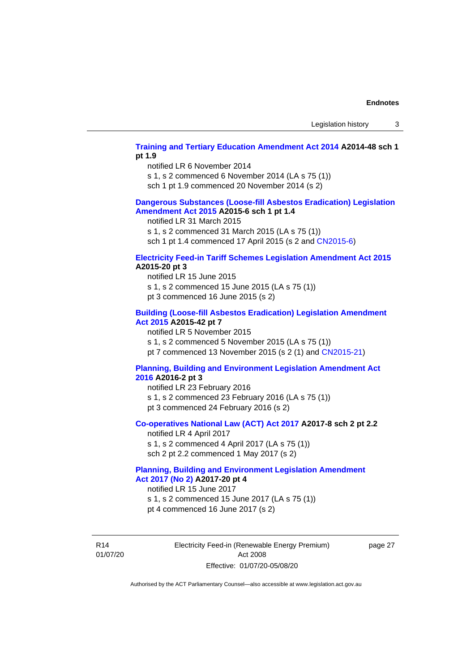#### **[Training and Tertiary Education Amendment Act 2014](http://www.legislation.act.gov.au/a/2014-48) A2014-48 sch 1 pt 1.9**

notified LR 6 November 2014

s 1, s 2 commenced 6 November 2014 (LA s 75 (1))

sch 1 pt 1.9 commenced 20 November 2014 (s 2)

#### **[Dangerous Substances \(Loose-fill Asbestos Eradication\) Legislation](http://www.legislation.act.gov.au/a/2015-6/default.asp)  [Amendment](http://www.legislation.act.gov.au/a/2015-6/default.asp) Act 2015 A2015-6 sch 1 pt 1.4**

notified LR 31 March 2015

s 1, s 2 commenced 31 March 2015 (LA s 75 (1))

sch 1 pt 1.4 commenced 17 April 2015 (s 2 and [CN2015-6\)](http://www.legislation.act.gov.au/cn/2015-6/default.asp)

#### **[Electricity Feed-in Tariff Schemes Legislation Amendment Act 2015](http://www.legislation.act.gov.au/a/2015-20/default.asp) A2015-20 pt 3**

notified LR 15 June 2015 s 1, s 2 commenced 15 June 2015 (LA s 75 (1)) pt 3 commenced 16 June 2015 (s 2)

#### **[Building \(Loose-fill Asbestos Eradication\) Legislation Amendment](http://www.legislation.act.gov.au/a/2015-42/default.asp)  [Act 2015](http://www.legislation.act.gov.au/a/2015-42/default.asp) A2015-42 pt 7**

notified LR 5 November 2015

s 1, s 2 commenced 5 November 2015 (LA s 75 (1))

pt 7 commenced 13 November 2015 (s 2 (1) and [CN2015-21\)](http://www.legislation.act.gov.au/cn/2015-21/default.asp)

#### **[Planning, Building and Environment Legislation Amendment Act](http://www.legislation.act.gov.au/a/2016-2/default.asp)  [2016](http://www.legislation.act.gov.au/a/2016-2/default.asp) A2016-2 pt 3**

notified LR 23 February 2016 s 1, s 2 commenced 23 February 2016 (LA s 75 (1)) pt 3 commenced 24 February 2016 (s 2)

#### **[Co-operatives National Law \(ACT\) Act 2017](http://www.legislation.act.gov.au/a/2017-8/default.asp) A2017-8 sch 2 pt 2.2**

notified LR 4 April 2017 s 1, s 2 commenced 4 April 2017 (LA s 75 (1)) sch 2 pt 2.2 commenced 1 May 2017 (s 2)

#### **[Planning, Building and Environment Legislation Amendment](http://www.legislation.act.gov.au/a/2017-20/default.asp)  Act 2017 [\(No 2\)](http://www.legislation.act.gov.au/a/2017-20/default.asp) A2017-20 pt 4**

notified LR 15 June 2017

s 1, s 2 commenced 15 June 2017 (LA s 75 (1))

pt 4 commenced 16 June 2017 (s 2)

R14 01/07/20 Electricity Feed-in (Renewable Energy Premium) Act 2008 Effective: 01/07/20-05/08/20

page 27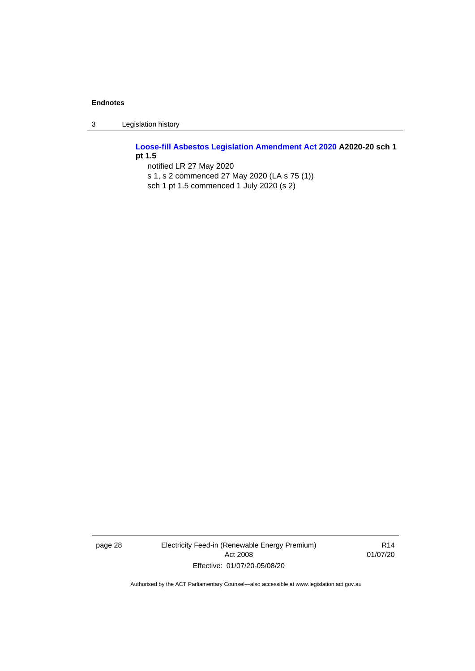3 Legislation history

**[Loose-fill Asbestos Legislation Amendment Act 2020](http://www.legislation.act.gov.au/a/2020-20/default.asp) A2020-20 sch 1 pt 1.5** notified LR 27 May 2020

s 1, s 2 commenced 27 May 2020 (LA s 75 (1)) sch 1 pt 1.5 commenced 1 July 2020 (s 2)

page 28 Electricity Feed-in (Renewable Energy Premium) Act 2008 Effective: 01/07/20-05/08/20

R14 01/07/20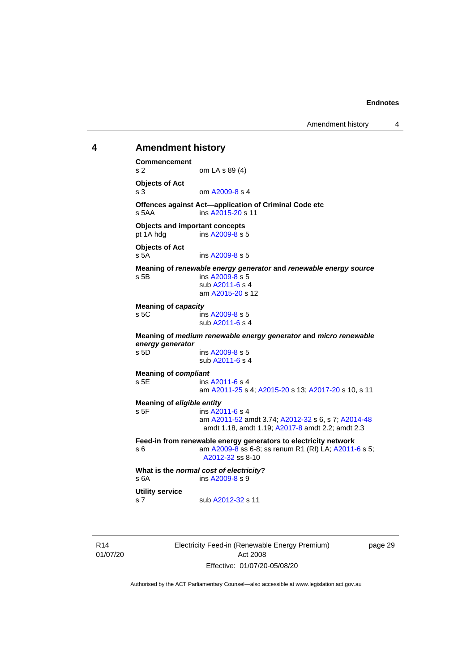Amendment history 4

#### <span id="page-34-0"></span>**4 Amendment history Commencement** s 2 om LA s 89 (4) **Objects of Act** s 3 om [A2009-8](http://www.legislation.act.gov.au/a/2009-8) s 4 **Offences against Act—application of Criminal Code etc**<br>s 5AA ins A2015-20 s 11 ins [A2015-20](http://www.legislation.act.gov.au/a/2015-20) s 11 **Objects and important concepts** pt 1A hdg ins [A2009-8](http://www.legislation.act.gov.au/a/2009-8) s 5 **Objects of Act** s 5A ins [A2009-8](http://www.legislation.act.gov.au/a/2009-8) s 5 **Meaning of** *renewable energy generator* **and** *renewable energy source* s 5B ins [A2009-8](http://www.legislation.act.gov.au/a/2009-8) s 5 sub [A2011-6](http://www.legislation.act.gov.au/a/2011-6) s 4 am [A2015-20](http://www.legislation.act.gov.au/a/2015-20) s 12 **Meaning of** *capacity* s 5C ins [A2009-8](http://www.legislation.act.gov.au/a/2009-8) s 5 sub [A2011-6](http://www.legislation.act.gov.au/a/2011-6) s 4 **Meaning of** *medium renewable energy generator* **and** *micro renewable energy generator* ins [A2009-8](http://www.legislation.act.gov.au/a/2009-8) s 5 sub [A2011-6](http://www.legislation.act.gov.au/a/2011-6) s 4 **Meaning of** *compliant* s 5E ins [A2011-6](http://www.legislation.act.gov.au/a/2011-6) s 4 am [A2011-25](http://www.legislation.act.gov.au/a/2011-25) s 4[; A2015-20](http://www.legislation.act.gov.au/a/2015-20) s 13; [A2017-20](http://www.legislation.act.gov.au/a/2017-20/default.asp) s 10, s 11 **Meaning of** *eligible entity* s 5F ins [A2011-6](http://www.legislation.act.gov.au/a/2011-6) s 4 am [A2011-52](http://www.legislation.act.gov.au/a/2011-52) amdt 3.74[; A2012-32](http://www.legislation.act.gov.au/a/2012-32) s 6, s 7; [A2014-48](http://www.legislation.act.gov.au/a/2014-48) amdt 1.18, amdt 1.19; [A2017-8](http://www.legislation.act.gov.au/a/2017-8/default.asp) amdt 2.2; amdt 2.3

**Feed-in from renewable energy generators to electricity network** s 6 **am [A2009-8](http://www.legislation.act.gov.au/a/2009-8)** ss 6-8; ss renum R1 (RI) LA; [A2011-6](http://www.legislation.act.gov.au/a/2011-6) s 5; [A2012-32](http://www.legislation.act.gov.au/a/2012-32) ss 8-10

**What is the** *normal cost of electricity***?** s 6A ins [A2009-8](http://www.legislation.act.gov.au/a/2009-8) s 9 **Utility service**

s 7 sub [A2012-32](http://www.legislation.act.gov.au/a/2012-32) s 11

R14 01/07/20 Electricity Feed-in (Renewable Energy Premium) Act 2008 Effective: 01/07/20-05/08/20

page 29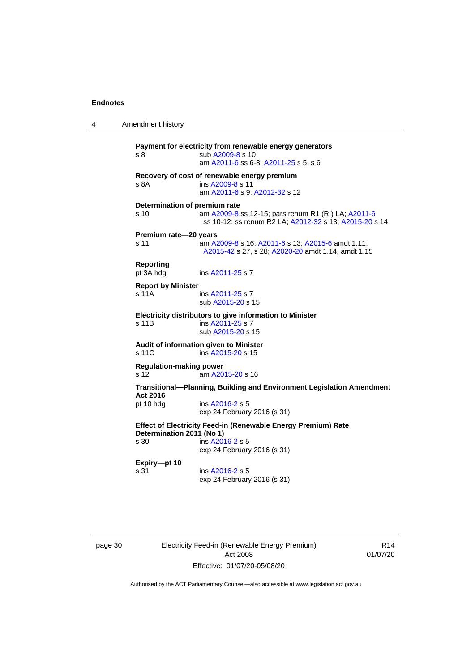```
4 Amendment history
Payment for electricity from renewable energy generators
 A2009-8 s 10
                 am A2011-6 ss 6-8; A2011-25 s 5, s 6
Recovery of cost of renewable energy premium
s 8A ins A2009-8 s 11
                 am A2011-6 s 9; A2012-32 s 12
Determination of premium rate
s 10 am A2009-8 ss 12-15; pars renum R1 (RI) LA; A2011-6
                  ss 10-12; ss renum R2 LA; A2012-32 s 13; A2015-20 s 14
Premium rate—20 years
s 11 am A2009-8 s 16; A2011-6 s 13; A2015-6 amdt 1.11; 
                  A2015-42 s 27, s 28; A2020-20 amdt 1.14, amdt 1.15
Reporting
pt 3A hdg ins A2011-25 s 7
Report by Minister
 A2011-25 s 7
                 sub A2015-20 s 15
Electricity distributors to give information to Minister
s 11B ins A2011-25 s 7
                 sub A2015-20 s 15
Audit of information given to Minister
s 11C ins A2015-20 s 15
Regulation-making power
s 12 am A2015-20 s 16
Transitional—Planning, Building and Environment Legislation Amendment 
Act 2016
pt 10 hdg ins A2016-2 s 5
                 exp 24 February 2016 (s 31)
Effect of Electricity Feed-in (Renewable Energy Premium) Rate 
Determination 2011 (No 1)
                 ins A2016-2 s 5
                 exp 24 February 2016 (s 31)
Expiry—pt 10
s 31 ins A2016-2 s 5
                 exp 24 February 2016 (s 31)
```
page 30 Electricity Feed-in (Renewable Energy Premium) Act 2008 Effective: 01/07/20-05/08/20

R14 01/07/20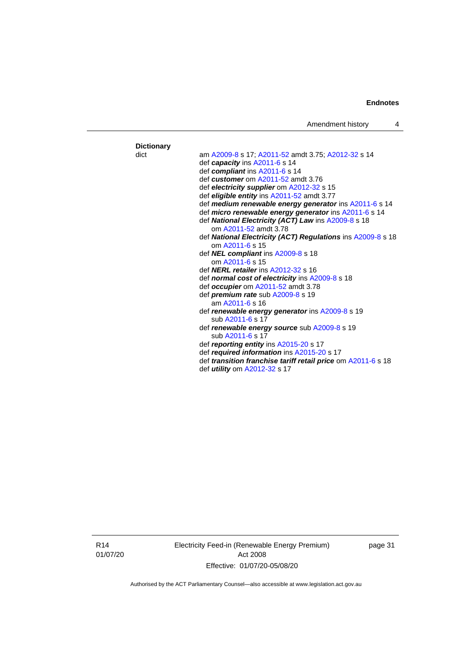#### **Dictionary** dict am [A2009-8](http://www.legislation.act.gov.au/a/2009-8) s 17[; A2011-52](http://www.legislation.act.gov.au/a/2011-52) amdt 3.75; [A2012-32](http://www.legislation.act.gov.au/a/2012-32) s 14 def *capacity* in[s A2011-6](http://www.legislation.act.gov.au/a/2011-6) s 14 def *compliant* ins [A2011-6](http://www.legislation.act.gov.au/a/2011-6) s 14 def *customer* om [A2011-52](http://www.legislation.act.gov.au/a/2011-52) amdt 3.76 def *electricity supplier* om [A2012-32](http://www.legislation.act.gov.au/a/2012-32) s 15 def *eligible entity* ins [A2011-52](http://www.legislation.act.gov.au/a/2011-52) amdt 3.77 def *medium renewable energy generator* in[s A2011-6](http://www.legislation.act.gov.au/a/2011-6) s 14 def *micro renewable energy generator* in[s A2011-6](http://www.legislation.act.gov.au/a/2011-6) s 14 def *National Electricity (ACT) Law* in[s A2009-8](http://www.legislation.act.gov.au/a/2009-8) s 18 om [A2011-52](http://www.legislation.act.gov.au/a/2011-52) amdt 3.78 def *National Electricity (ACT) Regulations* in[s A2009-8](http://www.legislation.act.gov.au/a/2009-8) s 18 om [A2011-6](http://www.legislation.act.gov.au/a/2011-6) s 15 def *NEL compliant* in[s A2009-8](http://www.legislation.act.gov.au/a/2009-8) s 18 om [A2011-6](http://www.legislation.act.gov.au/a/2011-6) s 15 def *NERL retailer* in[s A2012-32](http://www.legislation.act.gov.au/a/2012-32) s 16 def *normal cost of electricity* ins [A2009-8](http://www.legislation.act.gov.au/a/2009-8) s 18 def *occupier* om [A2011-52](http://www.legislation.act.gov.au/a/2011-52) amdt 3.78 def *premium rate* su[b A2009-8](http://www.legislation.act.gov.au/a/2009-8) s 19 am [A2011-6](http://www.legislation.act.gov.au/a/2011-6) s 16 def *renewable energy generator* ins [A2009-8](http://www.legislation.act.gov.au/a/2009-8) s 19 sub [A2011-6](http://www.legislation.act.gov.au/a/2011-6) s 17 def *renewable energy source* su[b A2009-8](http://www.legislation.act.gov.au/a/2009-8) s 19 sub [A2011-6](http://www.legislation.act.gov.au/a/2011-6) s 17 def *reporting entity* in[s A2015-20](http://www.legislation.act.gov.au/a/2015-20) s 17 def *required information* in[s A2015-20](http://www.legislation.act.gov.au/a/2015-20) s 17 def *transition franchise tariff retail price* o[m A2011-6](http://www.legislation.act.gov.au/a/2011-6) s 18 def *utility* o[m A2012-32](http://www.legislation.act.gov.au/a/2012-32) s 17

Electricity Feed-in (Renewable Energy Premium) Act 2008 Effective: 01/07/20-05/08/20

page 31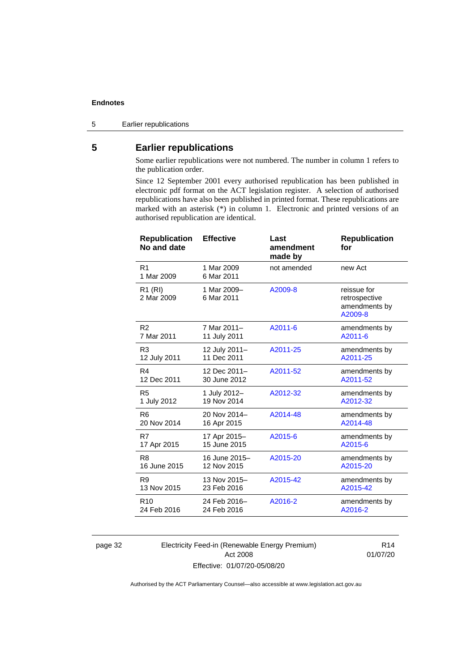5 Earlier republications

#### <span id="page-37-0"></span>**5 Earlier republications**

Some earlier republications were not numbered. The number in column 1 refers to the publication order.

Since 12 September 2001 every authorised republication has been published in electronic pdf format on the ACT legislation register. A selection of authorised republications have also been published in printed format. These republications are marked with an asterisk (\*) in column 1. Electronic and printed versions of an authorised republication are identical.

| <b>Republication</b><br>No and date | <b>Effective</b>          | Last<br>amendment<br>made by | <b>Republication</b><br>for                              |
|-------------------------------------|---------------------------|------------------------------|----------------------------------------------------------|
| R <sub>1</sub><br>1 Mar 2009        | 1 Mar 2009<br>6 Mar 2011  | not amended                  | new Act                                                  |
| R1 (RI)<br>2 Mar 2009               | 1 Mar 2009-<br>6 Mar 2011 | A2009-8                      | reissue for<br>retrospective<br>amendments by<br>A2009-8 |
| R <sub>2</sub>                      | 7 Mar 2011-               | A2011-6                      | amendments by                                            |
| 7 Mar 2011                          | 11 July 2011              |                              | A2011-6                                                  |
| R <sub>3</sub>                      | 12 July 2011-             | A2011-25                     | amendments by                                            |
| 12 July 2011                        | 11 Dec 2011               |                              | A2011-25                                                 |
| R4                                  | 12 Dec 2011-              | A2011-52                     | amendments by                                            |
| 12 Dec 2011                         | 30 June 2012              |                              | A2011-52                                                 |
| R <sub>5</sub>                      | 1 July 2012-              | A2012-32                     | amendments by                                            |
| 1 July 2012                         | 19 Nov 2014               |                              | A2012-32                                                 |
| R <sub>6</sub>                      | 20 Nov 2014-              | A2014-48                     | amendments by                                            |
| 20 Nov 2014                         | 16 Apr 2015               |                              | A2014-48                                                 |
| R7                                  | 17 Apr 2015-              | A2015-6                      | amendments by                                            |
| 17 Apr 2015                         | 15 June 2015              |                              | A2015-6                                                  |
| R8                                  | 16 June 2015-             | A2015-20                     | amendments by                                            |
| 16 June 2015                        | 12 Nov 2015               |                              | A2015-20                                                 |
| R <sub>9</sub>                      | 13 Nov 2015-              | A2015-42                     | amendments by                                            |
| 13 Nov 2015                         | 23 Feb 2016               |                              | A2015-42                                                 |
| R <sub>10</sub>                     | 24 Feb 2016-              | A2016-2                      | amendments by                                            |
| 24 Feb 2016                         | 24 Feb 2016               |                              | A2016-2                                                  |

page 32 Electricity Feed-in (Renewable Energy Premium) Act 2008 Effective: 01/07/20-05/08/20

R14 01/07/20